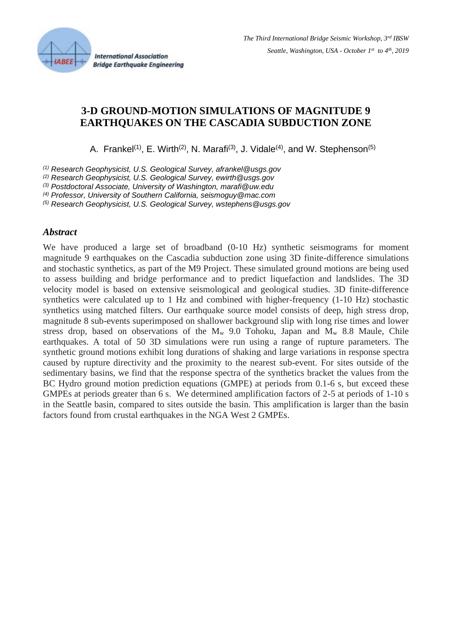

**International Association Bridge Earthquake Engineering** 

# **3-D GROUND-MOTION SIMULATIONS OF MAGNITUDE 9 EARTHQUAKES ON THE CASCADIA SUBDUCTION ZONE**

A. Frankel<sup>(1)</sup>, E. Wirth<sup>(2)</sup>, N. Marafi<sup>(3)</sup>, J. Vidale<sup>(4)</sup>, and W. Stephenson<sup>(5)</sup>

*(1) Research Geophysicist, U.S. Geological Survey, afrankel@usgs.gov*

*(2) Research Geophysicist, U.S. Geological Survey, [ewirth@usgs.gov](mailto:ewirth@usgs.gov)*

*(3) Postdoctoral Associate, University of Washington, marafi@uw.edu*

*(4) Professor, University of Southern California, seismoguy@mac.com*

*(5) Research Geophysicist, U.S. Geological Survey, wstephens@usgs.gov*

## *Abstract*

We have produced a large set of broadband  $(0-10$  Hz) synthetic seismograms for moment magnitude 9 earthquakes on the Cascadia subduction zone using 3D finite-difference simulations and stochastic synthetics, as part of the M9 Project. These simulated ground motions are being used to assess building and bridge performance and to predict liquefaction and landslides. The 3D velocity model is based on extensive seismological and geological studies. 3D finite-difference synthetics were calculated up to 1 Hz and combined with higher-frequency (1-10 Hz) stochastic synthetics using matched filters. Our earthquake source model consists of deep, high stress drop, magnitude 8 sub-events superimposed on shallower background slip with long rise times and lower stress drop, based on observations of the  $M_w$  9.0 Tohoku, Japan and  $M_w$  8.8 Maule, Chile earthquakes. A total of 50 3D simulations were run using a range of rupture parameters. The synthetic ground motions exhibit long durations of shaking and large variations in response spectra caused by rupture directivity and the proximity to the nearest sub-event. For sites outside of the sedimentary basins, we find that the response spectra of the synthetics bracket the values from the BC Hydro ground motion prediction equations (GMPE) at periods from 0.1-6 s, but exceed these GMPEs at periods greater than 6 s. We determined amplification factors of 2-5 at periods of 1-10 s in the Seattle basin, compared to sites outside the basin. This amplification is larger than the basin factors found from crustal earthquakes in the NGA West 2 GMPEs.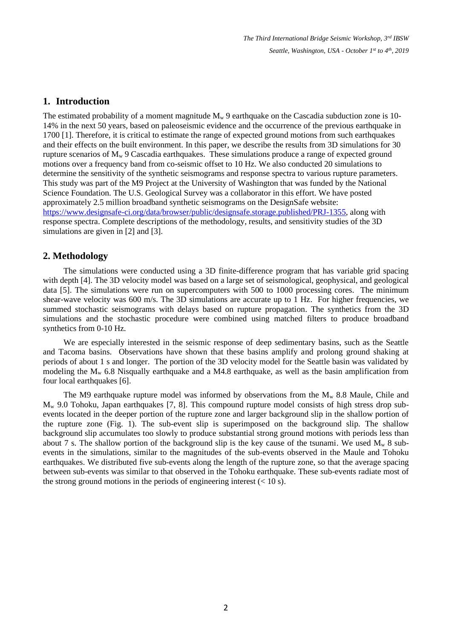# **1. Introduction**

The estimated probability of a moment magnitude  $M_w$  9 earthquake on the Cascadia subduction zone is 10-14% in the next 50 years, based on paleoseismic evidence and the occurrence of the previous earthquake in 1700 [1]. Therefore, it is critical to estimate the range of expected ground motions from such earthquakes and their effects on the built environment. In this paper, we describe the results from 3D simulations for 30 rupture scenarios of  $M_w$  9 Cascadia earthquakes. These simulations produce a range of expected ground motions over a frequency band from co-seismic offset to 10 Hz. We also conducted 20 simulations to determine the sensitivity of the synthetic seismograms and response spectra to various rupture parameters. This study was part of the M9 Project at the University of Washington that was funded by the National Science Foundation. The U.S. Geological Survey was a collaborator in this effort. We have posted approximately 2.5 million broadband synthetic seismograms on the DesignSafe website: [https://www.designsafe-ci.org/data/browser/public/designsafe.storage.published/PRJ-1355,](https://www.designsafe-ci.org/data/browser/public/designsafe.storage.published/PRJ-1355) along with response spectra. Complete descriptions of the methodology, results, and sensitivity studies of the 3D simulations are given in [2] and [3].

## **2. Methodology**

The simulations were conducted using a 3D finite-difference program that has variable grid spacing with depth [4]. The 3D velocity model was based on a large set of seismological, geophysical, and geological data [5]. The simulations were run on supercomputers with 500 to 1000 processing cores. The minimum shear-wave velocity was 600 m/s. The 3D simulations are accurate up to 1 Hz. For higher frequencies, we summed stochastic seismograms with delays based on rupture propagation. The synthetics from the 3D simulations and the stochastic procedure were combined using matched filters to produce broadband synthetics from 0-10 Hz.

We are especially interested in the seismic response of deep sedimentary basins, such as the Seattle and Tacoma basins. Observations have shown that these basins amplify and prolong ground shaking at periods of about 1 s and longer. The portion of the 3D velocity model for the Seattle basin was validated by modeling the  $M_w$  6.8 Nisqually earthquake and a M4.8 earthquake, as well as the basin amplification from four local earthquakes [6].

The M9 earthquake rupture model was informed by observations from the  $M_w$  8.8 Maule, Chile and M<sup>w</sup> 9.0 Tohoku, Japan earthquakes [7, 8]. This compound rupture model consists of high stress drop subevents located in the deeper portion of the rupture zone and larger background slip in the shallow portion of the rupture zone (Fig. 1). The sub-event slip is superimposed on the background slip. The shallow background slip accumulates too slowly to produce substantial strong ground motions with periods less than about 7 s. The shallow portion of the background slip is the key cause of the tsunami. We used  $M_w$  8 subevents in the simulations, similar to the magnitudes of the sub-events observed in the Maule and Tohoku earthquakes. We distributed five sub-events along the length of the rupture zone, so that the average spacing between sub-events was similar to that observed in the Tohoku earthquake. These sub-events radiate most of the strong ground motions in the periods of engineering interest  $(< 10 \text{ s})$ .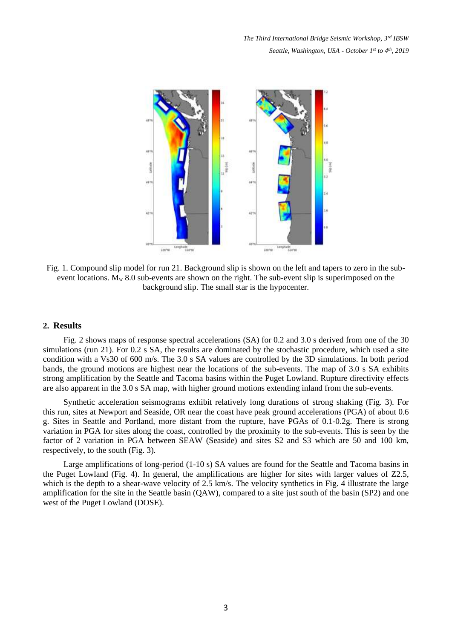

Fig. 1. Compound slip model for run 21. Background slip is shown on the left and tapers to zero in the subevent locations. M<sub>w</sub> 8.0 sub-events are shown on the right. The sub-event slip is superimposed on the background slip. The small star is the hypocenter.

#### **2. Results**

Fig. 2 shows maps of response spectral accelerations (SA) for 0.2 and 3.0 s derived from one of the 30 simulations (run 21). For 0.2 s SA, the results are dominated by the stochastic procedure, which used a site condition with a Vs30 of 600 m/s. The 3.0 s SA values are controlled by the 3D simulations. In both period bands, the ground motions are highest near the locations of the sub-events. The map of 3.0 s SA exhibits strong amplification by the Seattle and Tacoma basins within the Puget Lowland. Rupture directivity effects are also apparent in the 3.0 s SA map, with higher ground motions extending inland from the sub-events.

Synthetic acceleration seismograms exhibit relatively long durations of strong shaking (Fig. 3). For this run, sites at Newport and Seaside, OR near the coast have peak ground accelerations (PGA) of about 0.6 g. Sites in Seattle and Portland, more distant from the rupture, have PGAs of 0.1-0.2g. There is strong variation in PGA for sites along the coast, controlled by the proximity to the sub-events. This is seen by the factor of 2 variation in PGA between SEAW (Seaside) and sites S2 and S3 which are 50 and 100 km, respectively, to the south (Fig. 3).

Large amplifications of long-period (1-10 s) SA values are found for the Seattle and Tacoma basins in the Puget Lowland (Fig. 4). In general, the amplifications are higher for sites with larger values of Z2.5, which is the depth to a shear-wave velocity of 2.5 km/s. The velocity synthetics in Fig. 4 illustrate the large amplification for the site in the Seattle basin (QAW), compared to a site just south of the basin (SP2) and one west of the Puget Lowland (DOSE).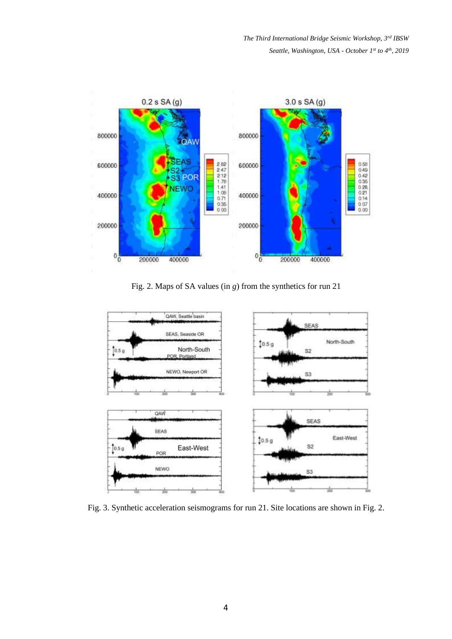

Fig. 2. Maps of SA values (in *g*) from the synthetics for run 21



Fig. 3. Synthetic acceleration seismograms for run 21. Site locations are shown in Fig. 2.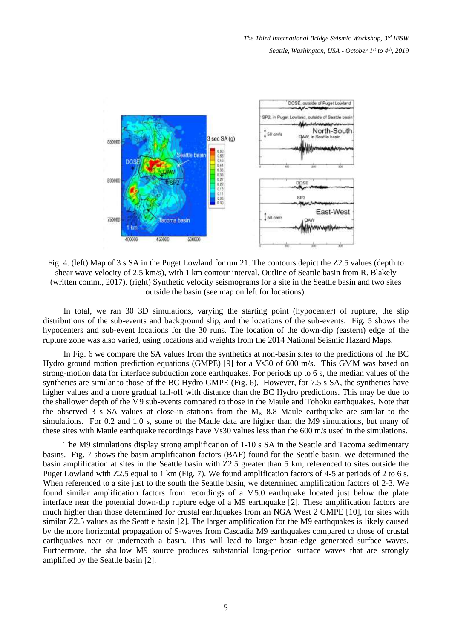

Fig. 4. (left) Map of 3 s SA in the Puget Lowland for run 21. The contours depict the Z2.5 values (depth to shear wave velocity of 2.5 km/s), with 1 km contour interval. Outline of Seattle basin from R. Blakely (written comm., 2017). (right) Synthetic velocity seismograms for a site in the Seattle basin and two sites outside the basin (see map on left for locations).

In total, we ran 30 3D simulations, varying the starting point (hypocenter) of rupture, the slip distributions of the sub-events and background slip, and the locations of the sub-events. Fig. 5 shows the hypocenters and sub-event locations for the 30 runs. The location of the down-dip (eastern) edge of the rupture zone was also varied, using locations and weights from the 2014 National Seismic Hazard Maps.

In Fig. 6 we compare the SA values from the synthetics at non-basin sites to the predictions of the BC Hydro ground motion prediction equations (GMPE) [9] for a Vs30 of 600 m/s. This GMM was based on strong-motion data for interface subduction zone earthquakes. For periods up to 6 s, the median values of the synthetics are similar to those of the BC Hydro GMPE (Fig. 6). However, for 7.5 s SA, the synthetics have higher values and a more gradual fall-off with distance than the BC Hydro predictions. This may be due to the shallower depth of the M9 sub-events compared to those in the Maule and Tohoku earthquakes. Note that the observed 3 s SA values at close-in stations from the  $M_w$  8.8 Maule earthquake are similar to the simulations. For 0.2 and 1.0 s, some of the Maule data are higher than the M9 simulations, but many of these sites with Maule earthquake recordings have Vs30 values less than the 600 m/s used in the simulations.

The M9 simulations display strong amplification of 1-10 s SA in the Seattle and Tacoma sedimentary basins. Fig. 7 shows the basin amplification factors (BAF) found for the Seattle basin. We determined the basin amplification at sites in the Seattle basin with Z2.5 greater than 5 km, referenced to sites outside the Puget Lowland with Z2.5 equal to 1 km (Fig. 7). We found amplification factors of 4-5 at periods of 2 to 6 s. When referenced to a site just to the south the Seattle basin, we determined amplification factors of 2-3. We found similar amplification factors from recordings of a M5.0 earthquake located just below the plate interface near the potential down-dip rupture edge of a M9 earthquake [2]. These amplification factors are much higher than those determined for crustal earthquakes from an NGA West 2 GMPE [10], for sites with similar Z2.5 values as the Seattle basin [2]. The larger amplification for the M9 earthquakes is likely caused by the more horizontal propagation of S-waves from Cascadia M9 earthquakes compared to those of crustal earthquakes near or underneath a basin. This will lead to larger basin-edge generated surface waves. Furthermore, the shallow M9 source produces substantial long-period surface waves that are strongly amplified by the Seattle basin [2].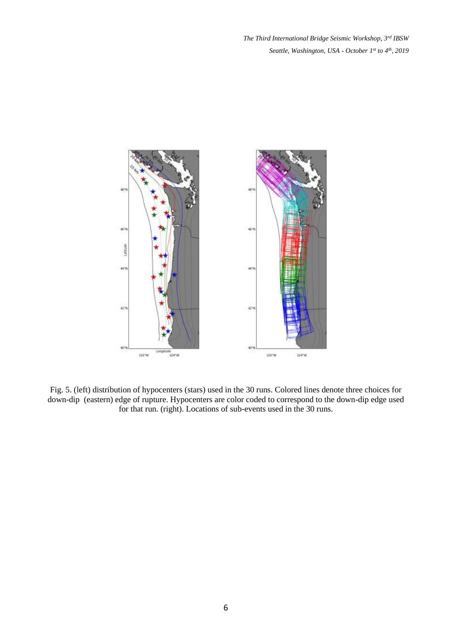

Fig. 5. (left) distribution of hypocenters (stars) used in the 30 runs. Colored lines denote three choices for down-dip (eastern) edge of rupture. Hypocenters are color coded to correspond to the down-dip edge used for that run. (right). Locations of sub-events used in the 30 runs.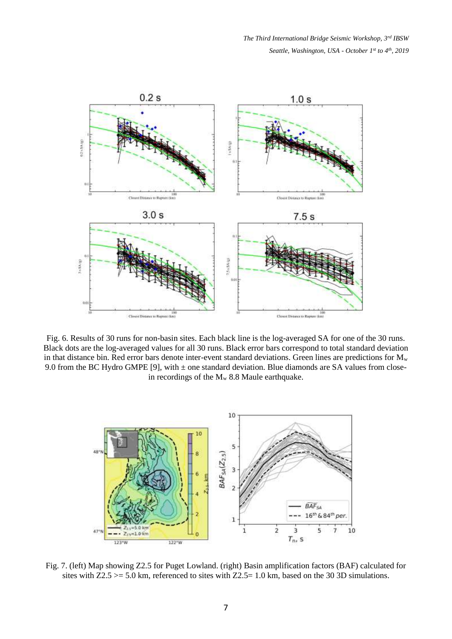

Fig. 6. Results of 30 runs for non-basin sites. Each black line is the log-averaged SA for one of the 30 runs. Black dots are the log-averaged values for all 30 runs. Black error bars correspond to total standard deviation in that distance bin. Red error bars denote inter-event standard deviations. Green lines are predictions for  $M_w$ 9.0 from the BC Hydro GMPE [9], with  $\pm$  one standard deviation. Blue diamonds are SA values from closein recordings of the  $M_w$  8.8 Maule earthquake.



Fig. 7. (left) Map showing Z2.5 for Puget Lowland. (right) Basin amplification factors (BAF) calculated for sites with  $Z2.5 \ge 5.0$  km, referenced to sites with  $Z2.5 = 1.0$  km, based on the 30 3D simulations.